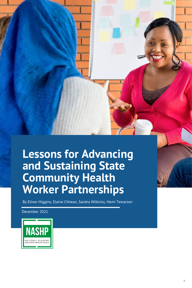## **Lessons for Advancing and Sustaining State Community Health Worker Partnerships**

By Elinor Higgins, Elaine Chhean, Sandra Wilkniss, Hemi Tewarson

December 2021

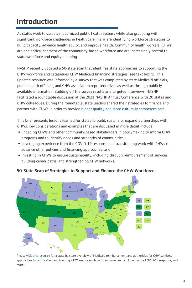### **Introduction**

As states work towards a modernized public health system, while also grappling with significant workforce challenges in health care, many are identifying workforce strategies to build capacity, advance health equity, and improve health. Community health workers (CHWs) are one critical segment of the community-based workforce and are increasingly central to state workforce and equity planning.

NASHP recently updated a 50-state scan that identifies state approaches to supporting the CHW workforce and catalogues CHW Medicaid financing strategies (see text box 1). This updated resource was informed by a survey that was completed by state Medicaid officials, public health officials, and CHW association representatives as well as through publicly available information. Building off the survey results and targeted interviews, NASHP facilitated a roundtable discussion at the 2021 NASHP Annual Conference with 20 states and CHW colleagues. During the roundtable, state leaders shared their strategies to finance and partner with CHWs in order to provide higher quality and more culturally [competent](https://www.healthaffairs.org/doi/abs/10.1377/hlthaff.2010.0081) care.

CHWs. Key considerations and examples that are discussed in more detail include: This brief presents lessons learned for states to build, sustain, or expand partnerships with

- Engaging CHWs and other community-based stakeholders in policymaking to inform CHW programs and to identify needs and strengths of communities;
- Leveraging experience from the COVID-19 response and transitioning work with CHWs to advance other policies and financing approaches; and
- Investing in CHWs to ensure sustainability, including through reimbursement of services, building career paths, and strengthening CHW networks.



#### **50-State Scan of Strategies to Support and Finance the CHW Workforce**

Please visit this [resource](https://www.nashp.org/state-community-health-worker-models/) for a state by state overview of Medicaid [reimbursement](https://www.nashp.org/state-community-health-worker-models/) and authorities for CHW services, approaches to certification and training, CHW employers, how CHWs have been included in the COVID-19 response, and more.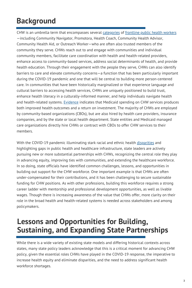### **Background**

CHW is an umbrella term that encompasses several [categories](https://academic.oup.com/jpubhealth/article/40/1/199/3111232) of [frontline](https://nachw.org/about/) public health workers —including Community Navigator, Promotora, Health Coach, Community Health Advisor, Community Health Aid, or Outreach Worker—who are often also trusted members of the community they serve. CHWs reach out to and engage with communities and individual community members, facilitate care coordination with health and health-related providers, enhance access to community-based services, address social determinants of health, and provide health education. Through their engagement with the people they serve, CHWs can also identify barriers to care and elevate community concerns—a function that has been particularly important during the COVID-19 pandemic and one that will be central to building more person-centered care. In communities that have been historically marginalized or that experience language and cultural barriers to accessing health services, CHWs are uniquely [positioned](https://www.ncbi.nlm.nih.gov/pmc/articles/PMC4386525/) to build trust, enhance health literacy in a culturally-informed manner, and help individuals navigate health and health-related systems. [Evidence](https://www.healthaffairs.org/doi/full/10.1377/hlthaff.2019.00981) indicates that Medicaid spending on CHW services produces both improved health outcomes and a return on investment. The majority of CHWs are employed by community-based organizations (CBOs), but are also hired by health care providers, insurance companies, and by the state or local health department. State entities and Medicaid managed care organizations directly hire CHWs or contract with CBOs to offer CHW services to their members.

With the COVID-19 pandemic illuminating stark racial and ethnic health [disparities](https://pubmed.ncbi.nlm.nih.gov/33253040/) and highlighting gaps in public health and healthcare infrastructure, state leaders are actively pursuing new or more substantial partnerships with CHWs, recognizing the central role they play in advancing equity, improving ties with communities, and extending the healthcare workforce. In so doing, state officials have identified common challenges, lessons, and opportunities in building out support for the CHW workforce. One important example is that CHWs are often under-compensated for their contributions, and it has been challenging to secure sustainable funding for CHW positions. As with other professions, building this workforce requires a strong career ladder with mentorship and professional development opportunities, as well as livable wages. Though there is increasing awareness of the value that CHWs offer, more clarity on their role in the broad health and health-related systems is needed across stakeholders and among policymakers.

### **Lessons and Opportunities for Building, Sustaining, and Expanding State Partnerships**

While there is a wide variety of existing state models and differing historical contexts across states, many state policy leaders acknowledge that this is a critical moment for advancing CHW policy, given the essential roles CHWs have played in the COVID-19 response, the imperative to increase health equity and eliminate disparities, and the need to address significant health workforce shortages.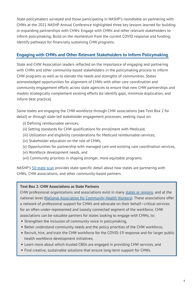State policymakers surveyed and those participating in NASHP's roundtable on partnering with CHWs at the 2021 NASHP Annual Conference highlighted three key lessons learned for building or expanding partnerships with CHWs: Engage with CHWs and other relevant stakeholders to inform policymaking; Build on the momentum from the current COVID response and funding; Identify pathways for financially sustaining CHW programs.

#### **Engaging with CHWs and Other Relevant Stakeholders to Inform Policymaking**

State and CHW Association leaders reflected on the importance of engaging and partnering with CHWs and other community-based stakeholders in the policymaking process to inform CHW programs as well as to elevate the needs and strengths of communities. States acknowledged opportunities for alignment of CHWs with other care coordination and community engagement efforts across state agencies to ensure that new CHW partnerships and models strategically complement existing efforts (to identify gaps, minimize duplication, and inform best practice).

Some states are engaging the CHW workforce through CHW associations (see Text Box 2 for detail) or through state-led stakeholder engagement processes, seeking input on:

- (i) Defining reimbursable services,
- (ii) Setting standards for CHW qualifications for enrollment with Medicaid,
- (iii) Utilization and eligibility considerations for Medicaid reimbursable-services,
- (iv) Stakeholder education on the role of CHWs,
- (v) Opportunities for partnership with managed care and existing care coordination services,
- (vi) Workforce development needs, and
- (vii) Community priorities in shaping stronger, more equitable programs.

NASHP's [50-state](https://www.nashp.org/state-community-health-worker-models/) scan provides state-specific detail about how states are partnering with CHWs, CHW associations, and other community-based partners.

#### **Text Box 2: CHW Associations as State Partners**

associations can be valuable partners for states looking to engage with CHWs, to: CHW professional organizations and associations exist in many [states](https://nachw.org/membership/chw-networks-and-certification-programs/) or regions, and at the national level (National Association for [Community](https://nachw.org/) Health Workers). These associations offer a network of professional support for CHWs and advocate on their behalf—critical services for an often under-represented and loosely connected segment of the workforce. CHW

- Strengthen the inclusion of community voice in policymaking,
- Better understand community needs and the policy priorities of the CHW workforce,
- Recruit, hire, and train the CHW workforce for the COVID-19 response and for larger public health workforce development initiatives,
- Learn more about which trusted CBOs are engaged in providing CHW services, and
- Find creative, sustainable solutions that ensure long-term support for CHWs.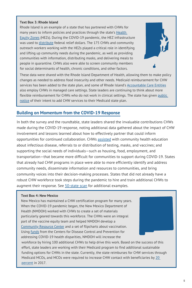#### **Text Box 3: Rhode Island**

Rhode Island is an example of a state that has partnered with CHWs for many years to inform policies and practices through the state's Health Equity Zones (HEZs). During the COVID-19 [pandemic,](https://health.ri.gov/programs/detail.php?pgm_id=1108) the HEZ infrastructur[e](https://www.nashp.org/state-community-health-worker-models/) was used to [distribute](https://www.nashp.org/state-cross-agency-collaboration-during-the-covid-19-pandemic-response/) federal relief dollars. The 175 CHWs and community outreach workers working with the HEZs played a critical role in identifying and lifting up community needs during the pandemic, as well as providing communities with information, distributing masks, and delivering meals to people in quarantine. CHWs also were able to screen community members for social determinants of health, chronic conditions, and other factors.



These data were shared with the Rhode Island Department of Health, allowing them to make policy changes as needed to address food insecurity and other needs. Medicaid reimbursement for CHW services has been added to the state plan, and some of Rhode Island's [Accountable](https://www.nashp.org/qa-how-rhode-island-tackles-social-determinants-of-health-through-its-accountable-entity-model/) Care Entities also employ CHWs in managed care settings. State leaders are continuing to think about more flexible [reimbursement](https://eohhs.ri.gov/sites/g/files/xkgbur226/files/2021-09/21-0012-revised-clean-to-post-092721-notice-to-public_chw-6.29.21.pdf) for CHWs who do not work in clinical settings. The state has given public notice of their intent to add CHW services to their Medicaid state plan.

#### **Building on Momentum from the COVID-19 Response**

In both the survey and the roundtable, state leaders shared the invaluable contributions CHWs made during the COVID-19 response, noting additional data gathered about the impact of CHW involvement and lessons learned about how to effectively partner that could inform opportunities for continued collaboration. CHWs [assisted](https://www.nashp.org/states-engage-community-health-workers-to-combat-covid-19-and-health-inequities/) with community health education about infectious disease, referrals to or distribution of testing, masks, and vaccines; and supporting the social needs of individuals—such as housing, food, employment, and transportation—that became more difficult for communities to support during COVID-19. States that already had CHW programs in place were able to more efficiently identify and address community needs, disseminate information and resources to communities, and bring community voices into their decision-making processes. States that did not already have a robust CHW workforce took steps during the pandemic to hire and train additional CHWs to augment their response. See [50-state](https://www.nashp.org/state-community-health-worker-models/) scan for additional examples.

#### **Text Box 4: New Mexico**

New Mexico has maintained a CHW certification program for many years. When the COVID-19 pandemic began, the New Mexico Department of Health (NMDOH) worked with CHWs to create a set of materials particularly geared towards this workforce. The CHWs were an integral part of the vaccine equity team and helped NMDOH develop a [Community](https://getthefacts.vaccinenm.org/chw/) Resource Center and a set of flipcharts about vaccination. Using [funds](https://www.cdc.gov/publichealthgateway/partnerships/COVID-19-Health-Disparities-OT21-2103.html) from the Centers for Disease Control and Prevention for addressing COVID-19 health disparities, NMDOH will increase the



workforce by hiring 100 additional CHWs to help drive this work. Based on the success of this effort, state leaders are working with their Medicaid program to find additional sustainable funding options for CHWs in the state. Currently, the state reimburses for CHW services through Medicaid MCOs, and MCOs were required to increase CHW contact with [beneficiaries](https://www.healthaffairs.org/do/10.1377/hblog20170725.061194/full/) by 20 percent in 2017.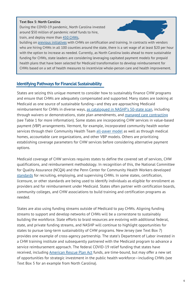#### **Text Box 5: North Carolina**

During the COVID-19 pandemic, North Carolina invested around \$50 million of pandemic relief funds to hire, train, and deploy more than 450 [CHWs,](https://www.ncdhhs.gov/divisions/office-rural-health/community-health-workers)



building on previous [initiatives](https://www.ncdhhs.gov/about/department-initiatives/healthy-opportunities/community-health-worker-initiative) with CHWs on certification and training. In [contracts](https://www.nashp.org/state-community-health-worker-models/) with vendors who are hiring CHWs in all 100 counties around the state, there is a set wage of at least \$20 per hour with the option to increase as needed. Currently, as North Carolina looks ahead to more sustainable funding for CHWs, state leaders are considering leveraging capitated payment models for prepaid health plans that have been selected for Medicaid transformation to develop reimbursement for CHWs based on a set of health measures to incentivize whole-person care and health improvement.

#### **Identifying Pathways for Financial Sustainability**

States are seizing this unique moment to consider how to sustainably finance CHW programs and ensure that CHWs are adequately compensated and supported. Many states are looking at Medicaid as one source of sustainable funding—and they are approaching Medicaid reimbursement for CHWs in diverse ways, as catalogued in [NASHP's](https://www.nashp.org/state-community-health-worker-models/) 50-state scan, including through waivers or demonstrations, state plan amendments, and managed care [contracting](http://healthleadsusa.org/wp-content/uploads/2019/09/FamiliesUSA-How-States-Can-Use-Medicaid-Managed-Care-Contracts-to-Support-CHWs-6118.pdf) (see Table 1 for more information). Some states are incorporating CHW services in value-based payment (VBP) arrangements. Vermont, for example, incorporated community health worker services through their Community Health Team [all-payer](https://gmcboard.vermont.gov/payment-reform/APM) model as well as through medical homes, accountable care organizations, and other VBP models. Others are prioritizing establishing coverage parameters for CHW services before considering alternative payment options.

Medicaid coverage of CHW services requires states to define the covered set of services, CHW qualifications, and reimbursement methodology. In recognition of this, the National Committee for Quality Assurance (NCQA) and the Penn Center for Community Health Workers developed [standards](https://www.ncqa.org/wp-content/uploads/2021/11/Critical-Inputs-for-Successful-CHW-Programs-White-Paper-November2021.pdf) for recruiting, employing, and supervising CHWs. In some states, certification, licensure, or other standards are being used to identify individuals as eligible for enrollment as providers and for reimbursement under Medicaid. States often partner with certification boards, community colleges, and CHW associations to build training and certification programs as needed.

States are also using funding streams outside of Medicaid to pay CHWs. Aligning funding streams to support and develop networks of CHWs will be a cornerstone to sustainably building the workforce. State efforts to braid resources are evolving with additional federal, state, and private funding streams, and NASHP will continue to highlight opportunities for states to pursue long-term sustainability of CHW programs. New Jersey (see Text Box 7) provides one example of cross-agency partnership. The state's Department of Labor invested in a CHW training institute and subsequently partnered with the Medicaid program to advance a service reimbursement approach. The federal COVID-19 relief funding that states have received, including [American](https://www.nashp.org/how-states-are-spending-american-rescue-plan-state-fiscal-recovery-funds/) Rescue Plan Act funds, are time-bound, but may offer a new set of opportunities for strategic investment in the public health workforce—including CHWs (see Text Box 5 for an example from North Carolina).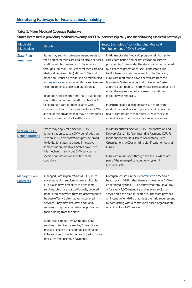#### **Table 1. Major Medicaid Coverage Pathways**

#### **States interested in providing Medicaid coverage for CHW services typically use the following Medicaid pathways.**

| Medicaid<br>Mechanism                 | <b>Details</b>                                                                                                                                                                                                                                                                                                                                                                                                                                                                                                                                                                                                                                                               | Select Examples of Long-Standing Medicaid<br><b>Reimbursement of CHW Services</b>                                                                                                                                                                                                                                                                                                                                                                                                                                                                                                                                                                                                                                               |
|---------------------------------------|------------------------------------------------------------------------------------------------------------------------------------------------------------------------------------------------------------------------------------------------------------------------------------------------------------------------------------------------------------------------------------------------------------------------------------------------------------------------------------------------------------------------------------------------------------------------------------------------------------------------------------------------------------------------------|---------------------------------------------------------------------------------------------------------------------------------------------------------------------------------------------------------------------------------------------------------------------------------------------------------------------------------------------------------------------------------------------------------------------------------------------------------------------------------------------------------------------------------------------------------------------------------------------------------------------------------------------------------------------------------------------------------------------------------|
| <b>State Plan</b><br><b>Amendment</b> | States may submit state plan amendments to<br>the Centers for Medicare and Medicaid services<br>to allow reimbursement for CHW services<br>through Medicaid. The Center for Medicare and<br>Medicaid Services (CMS) allows CHWs and<br>other non-licensed providers to be reimbursed<br>for preventive services when those services are<br>recommended by a licensed practitioner.<br>In addition, the Health Home state plan option<br>was authorized under the Affordable Care Act<br>to coordinate care for beneficiaries with<br>chronic conditions. States may include CHWs<br>as one of the providers that may be reimbursed<br>for services as part of a Health Home. | In Minnesota, the Medicaid program reimburses for<br>care coordination and health education services<br>provided by CHWs under the state plan when ordered<br>by a licensed practitioner (see Minnesota's CHW<br>toolkit here). For reimbursement under Medicaid,<br>CHWs are required to have a certificate from the<br>Minnesota State Colleges and Universities System<br>approved community health worker curriculum and be<br>under the supervision of a licensed practitioner<br>enrolled with Medicaid.<br>Michigan Medicaid also operates a Health Home<br>model for individuals with physical and behavioral<br>health comorbidities that offers CHW services for<br>individuals with concerns about social resources. |
| Section 1115<br><b>Demonstrations</b> | States may apply for a Section 1115<br>demonstration to test a CHW benefit design.<br>Section 1115 demonstrations provide broad<br>flexibility for states to pursue innovative<br>demonstration initiatives. States have used<br>this mechanism to target CHW services to<br>specific populations or specific health<br>conditions.                                                                                                                                                                                                                                                                                                                                          | In Massachusetts, Section 1115 Demonstration and<br>Delivery System Reform Incentive Payment (DSRIP)<br>funds supported MassHealth Accountable Care<br>Organizations (ACOs) in hiring significant numbers of<br>CHW <sub>s</sub> .<br>CHWs are reimbursed through the ACOs, which are<br>part of the managed care delivery system in<br>Massachusetts.                                                                                                                                                                                                                                                                                                                                                                          |
| Managed Care<br>Contracts             | Managed Care Organizations (MCOs) must<br>cover state plan services where applicable.<br>MCOs also have flexibility to offer some<br>services which are not traditionally covered<br>under Medicaid when they are determined to<br>be cost-effective alternatives to covered<br>services. They may also offer additional<br>services using the administrative portion of<br>their funding from the state.<br>Some states require MCOs to offer CHW<br>services or to directly employ CHWs. States<br>may also choose to encourage coverage of<br>CHW services through the use of performance<br>measures and incentive payments.                                             | Michigan requires in their contracts with Medicaid<br>health plans (MHPs) that there is at least one CHW-<br>either hired by the MHP or contracted through a CBO<br>-for every 5,000 members and in every regional<br>service area the plan is located in. The state provides<br>an incentive for MHPs that meet the ratio requirement<br>by contracting with a community-based organization<br>or a clinic for CHW services.                                                                                                                                                                                                                                                                                                   |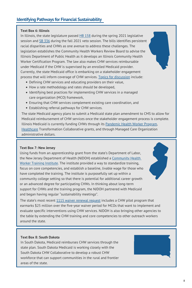#### **Text Box 6: Illinois**

**Hext Box 0. Runois**<br>In Illinois, the state legislature passed <u>HB 158</u> during the spring 2021 legislative session and SB [336](https://ilga.gov/legislation/publicacts/102/PDF/102-0674.pdf) during the fall 2021 veto session. The bills identifies persistent racial disparities and CHWs as one avenue to address these challenges. The legislation establishes the Community Health Workers Review Board to advise the Illinois Department of Public Health as it develops an Illinois Community Health Worker Certification Program. The law also makes CHW services reimbursable under Medicaid if the CHW is supervised by an enrolled Medicaid provider. Currently, the state Medicaid office is embarking on a stakeholder engagement process that will inform coverage of CHW services. Topics for [discussion](https://www2.illinois.gov/hfs/SiteCollectionDocuments/11092021PublicCommentNoticeForCHWDoulaAndHomeVisitingStakeholderFeedback.pdf) include:

- Defining CHW services and educating providers on their value,
- $\bullet$  How a rate methodology and rates should be developed,
- Identifying best practices for implementing CHW services in a managed care organization (MCO) framework,
- Ensuring that CHW services complement existing care coordination, and
- Establishing referral pathways for CHW services.

The state Medicaid agency plans to submit a Medicaid state plan amendment to CMS to allow for Medicaid reimbursement of CHW services once the stakeholder engagement process is complete. Illinois Medicaid is currently funding CHWs through its [Pandemic](https://www.illinois.gov/news/press-release.21381.html) Health Worker Program, [Healthcare](https://www2.illinois.gov/hfs/Pages/HealthcareTransformation.aspx) Transformation Collaborative grants, and through Managed Care Organization administrative dollars.

#### **Housing Support Models and Key Terminolo[gy](https://www.nashp.org/state-community-health-worker-models/) Text Box 7: New Jersey**

Using funds from an apprenticeship grant from the state's Department of Labor, the New Jersey [Department](https://www.nj.gov/health/fhs/clgi/) of Health (NJDOH) established a Community Health Worker Training Institute. The institute provided a way to standardize training, focus on core competencies, and establish a baseline, livable wage for those who have completed the training. The institute is purposefully set up within a community college setting so that there is potential for additional career growth or an advanced degree for participating CHWs. In thinking about long-term support for CHWs and the training program, the NJDOH partnered with Medicaid and began having regular "sustainability meetings".

The state's most recent 1115 waiver [renewal](https://www.state.nj.us/humanservices/dmahs/home/1115_NJFamilyCare_Comprehensive_Demonstration_Draft_Proposal.pdf) request includes a CHW pilot program that earmarks \$25 million over the five-year waiver period for MCOs that want to implement and evaluate specific interventions using CHW services. NJDOH is also bringing other agencies to the table by extending the CHW training and core competencies to other outreach workers around the state.

#### **Text Box 8: South Dakota**

In South Dakota, Medicaid reimburses CHW services through the state plan. South Dakota Medicaid is working closely with the South Dakota CHW Collaborative to develop a robust CHW workforce that can support communities in the rural and frontier areas of the state.